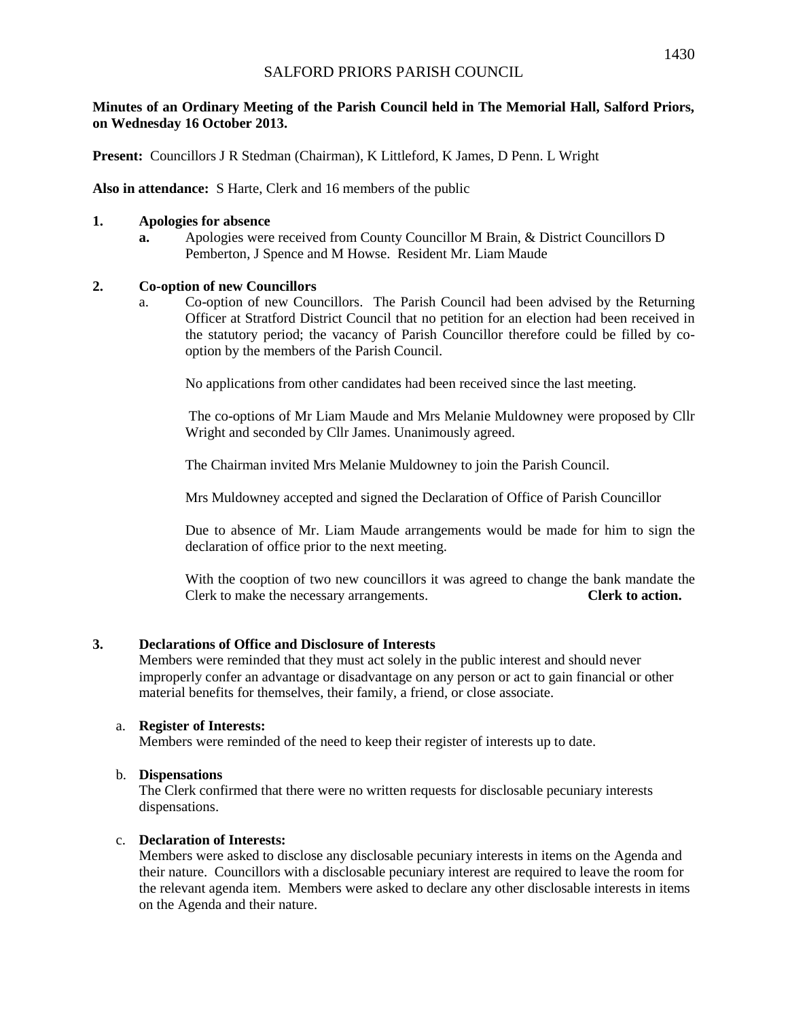## **Minutes of an Ordinary Meeting of the Parish Council held in The Memorial Hall, Salford Priors, on Wednesday 16 October 2013.**

**Present:** Councillors J R Stedman (Chairman), K Littleford, K James, D Penn. L Wright

**Also in attendance:** S Harte, Clerk and 16 members of the public

## **1. Apologies for absence**

**a.** Apologies were received from County Councillor M Brain, & District Councillors D Pemberton, J Spence and M Howse. Resident Mr. Liam Maude

## **2. Co-option of new Councillors**

a. Co-option of new Councillors. The Parish Council had been advised by the Returning Officer at Stratford District Council that no petition for an election had been received in the statutory period; the vacancy of Parish Councillor therefore could be filled by cooption by the members of the Parish Council.

No applications from other candidates had been received since the last meeting.

The co-options of Mr Liam Maude and Mrs Melanie Muldowney were proposed by Cllr Wright and seconded by Cllr James. Unanimously agreed.

The Chairman invited Mrs Melanie Muldowney to join the Parish Council.

Mrs Muldowney accepted and signed the Declaration of Office of Parish Councillor

Due to absence of Mr. Liam Maude arrangements would be made for him to sign the declaration of office prior to the next meeting.

With the cooption of two new councillors it was agreed to change the bank mandate the Clerk to make the necessary arrangements. **Clerk to action.**

# **3. Declarations of Office and Disclosure of Interests**

Members were reminded that they must act solely in the public interest and should never improperly confer an advantage or disadvantage on any person or act to gain financial or other material benefits for themselves, their family, a friend, or close associate.

## a. **Register of Interests:**

Members were reminded of the need to keep their register of interests up to date.

## b. **Dispensations**

The Clerk confirmed that there were no written requests for disclosable pecuniary interests dispensations.

# c. **Declaration of Interests:**

Members were asked to disclose any disclosable pecuniary interests in items on the Agenda and their nature. Councillors with a disclosable pecuniary interest are required to leave the room for the relevant agenda item. Members were asked to declare any other disclosable interests in items on the Agenda and their nature.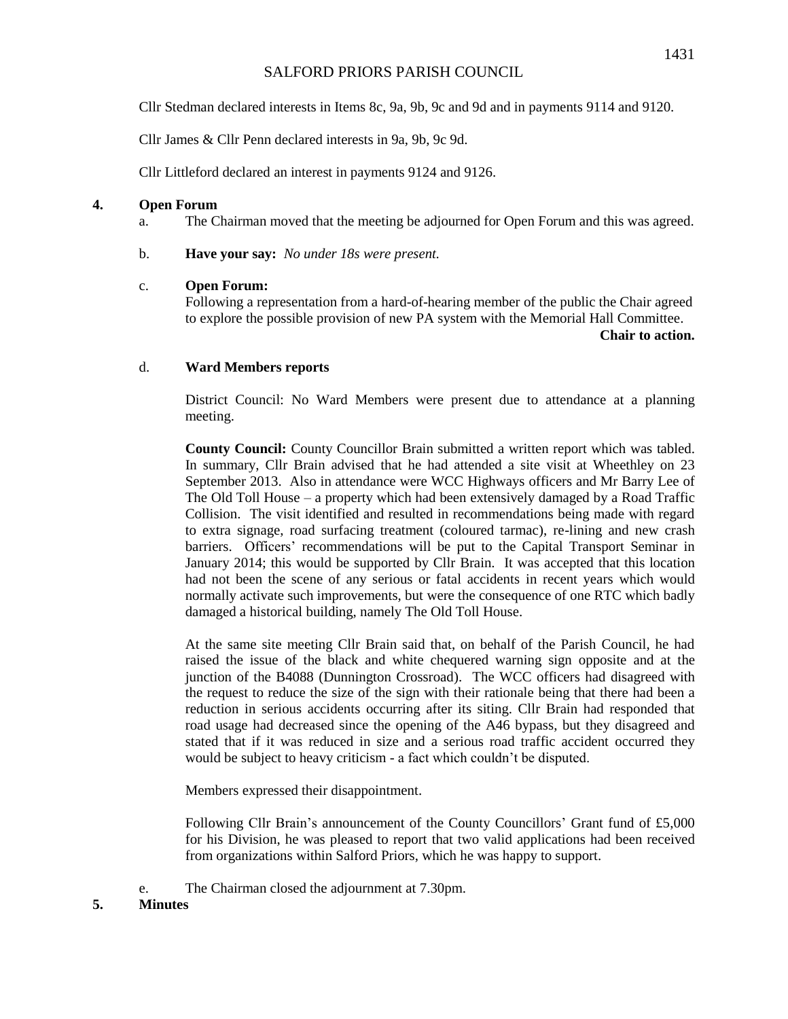Cllr Stedman declared interests in Items 8c, 9a, 9b, 9c and 9d and in payments 9114 and 9120.

Cllr James & Cllr Penn declared interests in 9a, 9b, 9c 9d.

Cllr Littleford declared an interest in payments 9124 and 9126.

## **4. Open Forum**

a. The Chairman moved that the meeting be adjourned for Open Forum and this was agreed.

b. **Have your say:** *No under 18s were present.*

#### c. **Open Forum:**

Following a representation from a hard-of-hearing member of the public the Chair agreed to explore the possible provision of new PA system with the Memorial Hall Committee.

**Chair to action.** 

## d. **Ward Members reports**

District Council: No Ward Members were present due to attendance at a planning meeting.

**County Council:** County Councillor Brain submitted a written report which was tabled. In summary, Cllr Brain advised that he had attended a site visit at Wheethley on 23 September 2013. Also in attendance were WCC Highways officers and Mr Barry Lee of The Old Toll House – a property which had been extensively damaged by a Road Traffic Collision. The visit identified and resulted in recommendations being made with regard to extra signage, road surfacing treatment (coloured tarmac), re-lining and new crash barriers. Officers' recommendations will be put to the Capital Transport Seminar in January 2014; this would be supported by Cllr Brain. It was accepted that this location had not been the scene of any serious or fatal accidents in recent years which would normally activate such improvements, but were the consequence of one RTC which badly damaged a historical building, namely The Old Toll House.

At the same site meeting Cllr Brain said that, on behalf of the Parish Council, he had raised the issue of the black and white chequered warning sign opposite and at the junction of the B4088 (Dunnington Crossroad). The WCC officers had disagreed with the request to reduce the size of the sign with their rationale being that there had been a reduction in serious accidents occurring after its siting. Cllr Brain had responded that road usage had decreased since the opening of the A46 bypass, but they disagreed and stated that if it was reduced in size and a serious road traffic accident occurred they would be subject to heavy criticism - a fact which couldn't be disputed.

Members expressed their disappointment.

Following Cllr Brain's announcement of the County Councillors' Grant fund of £5,000 for his Division, he was pleased to report that two valid applications had been received from organizations within Salford Priors, which he was happy to support.

e. The Chairman closed the adjournment at 7.30pm.

## **5. Minutes**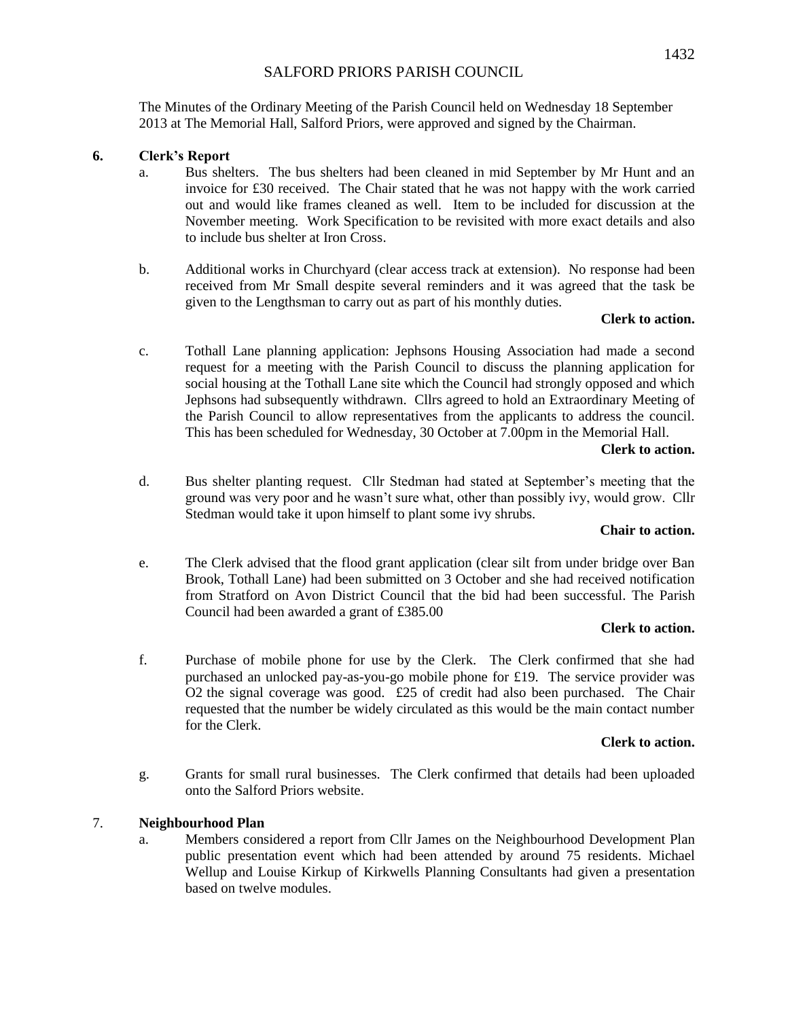The Minutes of the Ordinary Meeting of the Parish Council held on Wednesday 18 September 2013 at The Memorial Hall, Salford Priors, were approved and signed by the Chairman.

## **6. Clerk's Report**

- a. Bus shelters. The bus shelters had been cleaned in mid September by Mr Hunt and an invoice for £30 received. The Chair stated that he was not happy with the work carried out and would like frames cleaned as well. Item to be included for discussion at the November meeting. Work Specification to be revisited with more exact details and also to include bus shelter at Iron Cross.
- b. Additional works in Churchyard (clear access track at extension). No response had been received from Mr Small despite several reminders and it was agreed that the task be given to the Lengthsman to carry out as part of his monthly duties.

#### **Clerk to action.**

c. Tothall Lane planning application: Jephsons Housing Association had made a second request for a meeting with the Parish Council to discuss the planning application for social housing at the Tothall Lane site which the Council had strongly opposed and which Jephsons had subsequently withdrawn. Cllrs agreed to hold an Extraordinary Meeting of the Parish Council to allow representatives from the applicants to address the council. This has been scheduled for Wednesday, 30 October at 7.00pm in the Memorial Hall.

#### **Clerk to action.**

d. Bus shelter planting request. Cllr Stedman had stated at September's meeting that the ground was very poor and he wasn't sure what, other than possibly ivy, would grow. Cllr Stedman would take it upon himself to plant some ivy shrubs.

## **Chair to action.**

e. The Clerk advised that the flood grant application (clear silt from under bridge over Ban Brook, Tothall Lane) had been submitted on 3 October and she had received notification from Stratford on Avon District Council that the bid had been successful. The Parish Council had been awarded a grant of £385.00

#### **Clerk to action.**

f. Purchase of mobile phone for use by the Clerk. The Clerk confirmed that she had purchased an unlocked pay-as-you-go mobile phone for £19. The service provider was O2 the signal coverage was good. £25 of credit had also been purchased. The Chair requested that the number be widely circulated as this would be the main contact number for the Clerk.

#### **Clerk to action.**

g. Grants for small rural businesses. The Clerk confirmed that details had been uploaded onto the Salford Priors website.

## 7. **Neighbourhood Plan**

a. Members considered a report from Cllr James on the Neighbourhood Development Plan public presentation event which had been attended by around 75 residents. Michael Wellup and Louise Kirkup of Kirkwells Planning Consultants had given a presentation based on twelve modules.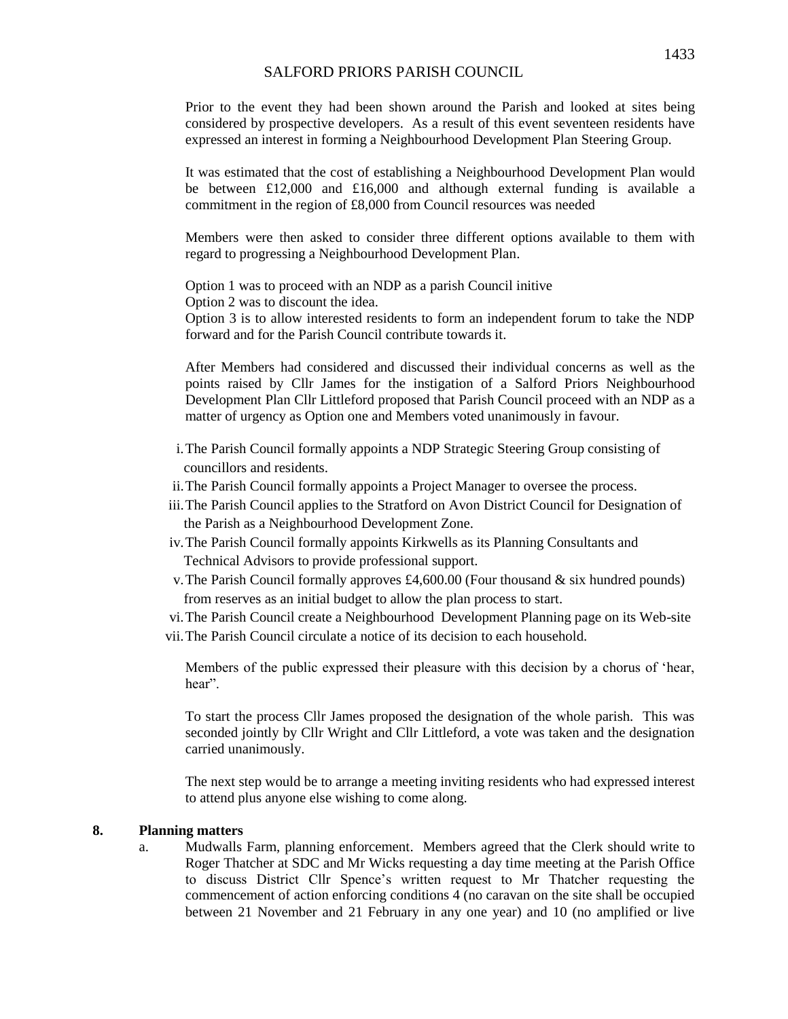Prior to the event they had been shown around the Parish and looked at sites being considered by prospective developers. As a result of this event seventeen residents have expressed an interest in forming a Neighbourhood Development Plan Steering Group.

It was estimated that the cost of establishing a Neighbourhood Development Plan would be between  $£12,000$  and  $£16,000$  and although external funding is available a commitment in the region of £8,000 from Council resources was needed

Members were then asked to consider three different options available to them with regard to progressing a Neighbourhood Development Plan.

Option 1 was to proceed with an NDP as a parish Council initive

Option 2 was to discount the idea.

Option 3 is to allow interested residents to form an independent forum to take the NDP forward and for the Parish Council contribute towards it.

After Members had considered and discussed their individual concerns as well as the points raised by Cllr James for the instigation of a Salford Priors Neighbourhood Development Plan Cllr Littleford proposed that Parish Council proceed with an NDP as a matter of urgency as Option one and Members voted unanimously in favour.

- i.The Parish Council formally appoints a NDP Strategic Steering Group consisting of councillors and residents.
- ii.The Parish Council formally appoints a Project Manager to oversee the process.
- iii.The Parish Council applies to the Stratford on Avon District Council for Designation of the Parish as a Neighbourhood Development Zone.
- iv.The Parish Council formally appoints Kirkwells as its Planning Consultants and Technical Advisors to provide professional support.
- v.The Parish Council formally approves £4,600.00 (Four thousand & six hundred pounds) from reserves as an initial budget to allow the plan process to start.

vi.The Parish Council create a Neighbourhood Development Planning page on its Web-site

vii.The Parish Council circulate a notice of its decision to each household.

Members of the public expressed their pleasure with this decision by a chorus of 'hear, hear".

To start the process Cllr James proposed the designation of the whole parish. This was seconded jointly by Cllr Wright and Cllr Littleford, a vote was taken and the designation carried unanimously.

The next step would be to arrange a meeting inviting residents who had expressed interest to attend plus anyone else wishing to come along.

#### **8. Planning matters**

a. Mudwalls Farm, planning enforcement. Members agreed that the Clerk should write to Roger Thatcher at SDC and Mr Wicks requesting a day time meeting at the Parish Office to discuss District Cllr Spence's written request to Mr Thatcher requesting the commencement of action enforcing conditions 4 (no caravan on the site shall be occupied between 21 November and 21 February in any one year) and 10 (no amplified or live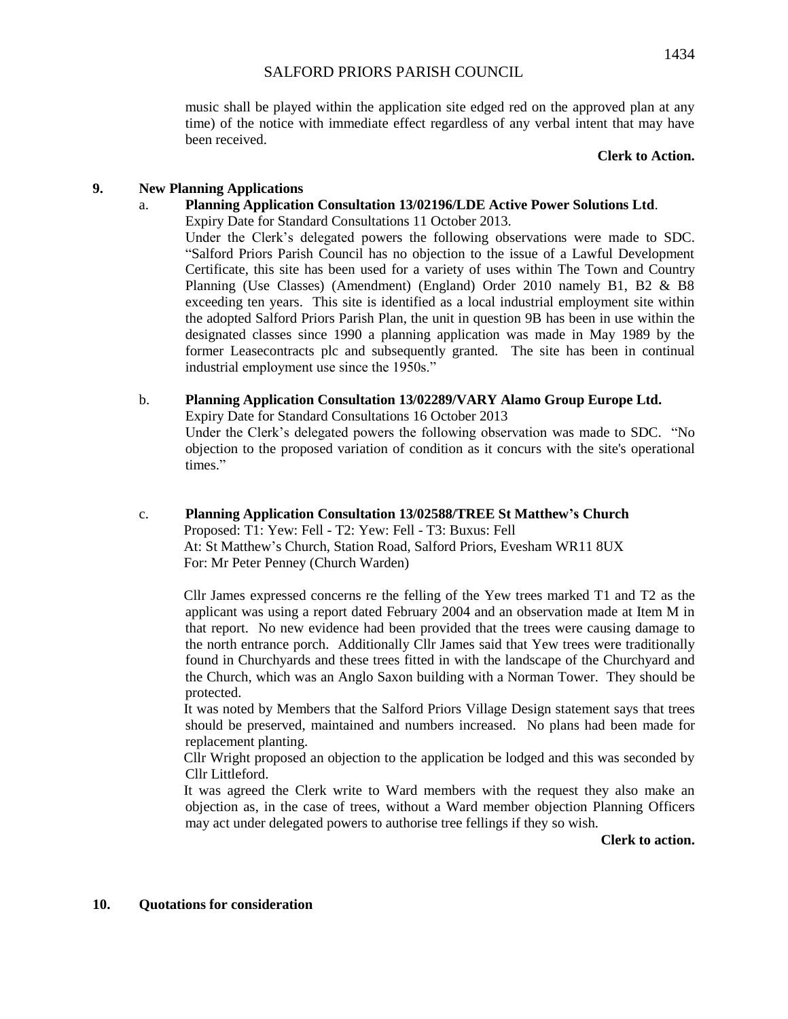music shall be played within the application site edged red on the approved plan at any

#### **Clerk to Action.**

## **9. New Planning Applications**

been received.

## a. **Planning Application Consultation 13/02196/LDE Active Power Solutions Ltd**.

Expiry Date for Standard Consultations 11 October 2013.

Under the Clerk's delegated powers the following observations were made to SDC. "Salford Priors Parish Council has no objection to the issue of a Lawful Development Certificate, this site has been used for a variety of uses within The Town and Country Planning (Use Classes) (Amendment) (England) Order 2010 namely B1, B2 & B8 exceeding ten years. This site is identified as a local industrial employment site within the adopted Salford Priors Parish Plan, the unit in question 9B has been in use within the designated classes since 1990 a planning application was made in May 1989 by the former Leasecontracts plc and subsequently granted. The site has been in continual industrial employment use since the 1950s."

time) of the notice with immediate effect regardless of any verbal intent that may have

## b. **Planning Application Consultation 13/02289/VARY Alamo Group Europe Ltd.**

Expiry Date for Standard Consultations 16 October 2013

Under the Clerk's delegated powers the following observation was made to SDC. "No objection to the proposed variation of condition as it concurs with the site's operational times."

c. **Planning Application Consultation 13/02588/TREE St Matthew's Church** Proposed: T1: Yew: Fell - T2: Yew: Fell - T3: Buxus: Fell At: St Matthew's Church, Station Road, Salford Priors, Evesham WR11 8UX For: Mr Peter Penney (Church Warden)

Cllr James expressed concerns re the felling of the Yew trees marked T1 and T2 as the applicant was using a report dated February 2004 and an observation made at Item M in that report. No new evidence had been provided that the trees were causing damage to the north entrance porch. Additionally Cllr James said that Yew trees were traditionally found in Churchyards and these trees fitted in with the landscape of the Churchyard and the Church, which was an Anglo Saxon building with a Norman Tower. They should be protected.

It was noted by Members that the Salford Priors Village Design statement says that trees should be preserved, maintained and numbers increased. No plans had been made for replacement planting.

Cllr Wright proposed an objection to the application be lodged and this was seconded by Cllr Littleford.

It was agreed the Clerk write to Ward members with the request they also make an objection as, in the case of trees, without a Ward member objection Planning Officers may act under delegated powers to authorise tree fellings if they so wish.

**Clerk to action.**

## **10. Quotations for consideration**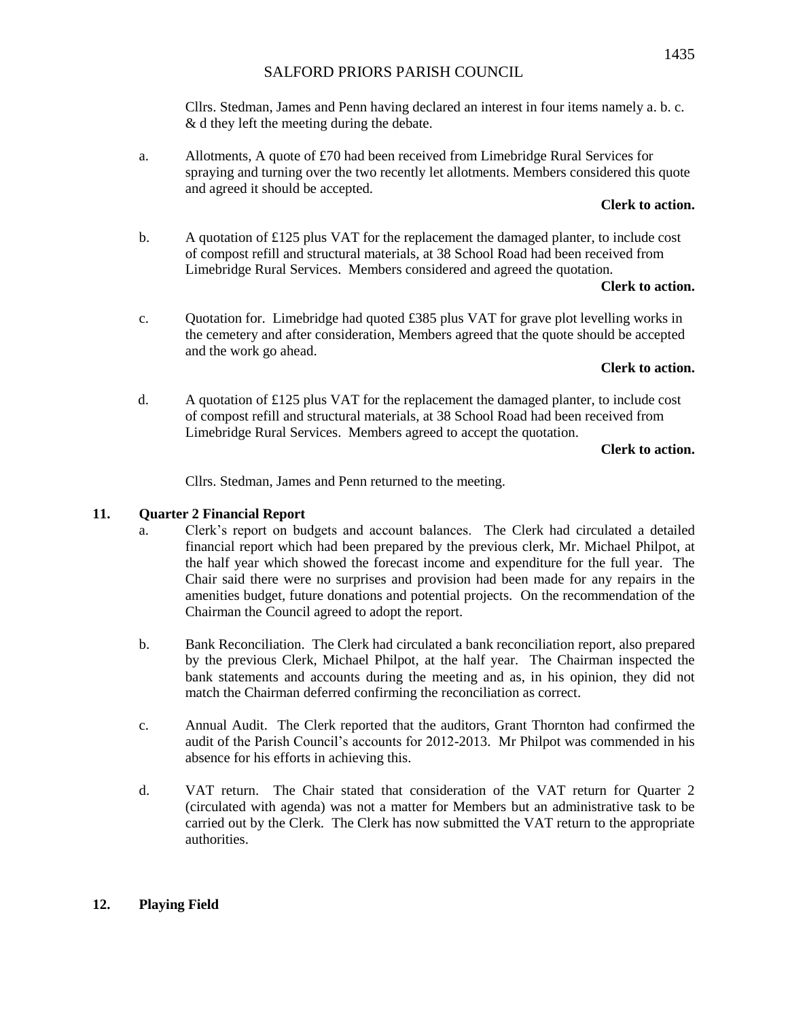Cllrs. Stedman, James and Penn having declared an interest in four items namely a. b. c. & d they left the meeting during the debate.

a. Allotments, A quote of £70 had been received from Limebridge Rural Services for spraying and turning over the two recently let allotments. Members considered this quote and agreed it should be accepted.

## **Clerk to action.**

b. A quotation of £125 plus VAT for the replacement the damaged planter, to include cost of compost refill and structural materials, at 38 School Road had been received from Limebridge Rural Services. Members considered and agreed the quotation.

## **Clerk to action.**

c. Quotation for. Limebridge had quoted £385 plus VAT for grave plot levelling works in the cemetery and after consideration, Members agreed that the quote should be accepted and the work go ahead.

## **Clerk to action.**

d. A quotation of £125 plus VAT for the replacement the damaged planter, to include cost of compost refill and structural materials, at 38 School Road had been received from Limebridge Rural Services. Members agreed to accept the quotation.

## **Clerk to action.**

Cllrs. Stedman, James and Penn returned to the meeting.

## **11. Quarter 2 Financial Report**

- a. Clerk's report on budgets and account balances. The Clerk had circulated a detailed financial report which had been prepared by the previous clerk, Mr. Michael Philpot, at the half year which showed the forecast income and expenditure for the full year. The Chair said there were no surprises and provision had been made for any repairs in the amenities budget, future donations and potential projects. On the recommendation of the Chairman the Council agreed to adopt the report.
- b. Bank Reconciliation.The Clerk had circulated a bank reconciliation report, also prepared by the previous Clerk, Michael Philpot, at the half year. The Chairman inspected the bank statements and accounts during the meeting and as, in his opinion, they did not match the Chairman deferred confirming the reconciliation as correct.
- c. Annual Audit. The Clerk reported that the auditors, Grant Thornton had confirmed the audit of the Parish Council's accounts for 2012-2013. Mr Philpot was commended in his absence for his efforts in achieving this.
- d. VAT return. The Chair stated that consideration of the VAT return for Quarter 2 (circulated with agenda) was not a matter for Members but an administrative task to be carried out by the Clerk. The Clerk has now submitted the VAT return to the appropriate authorities.

## **12. Playing Field**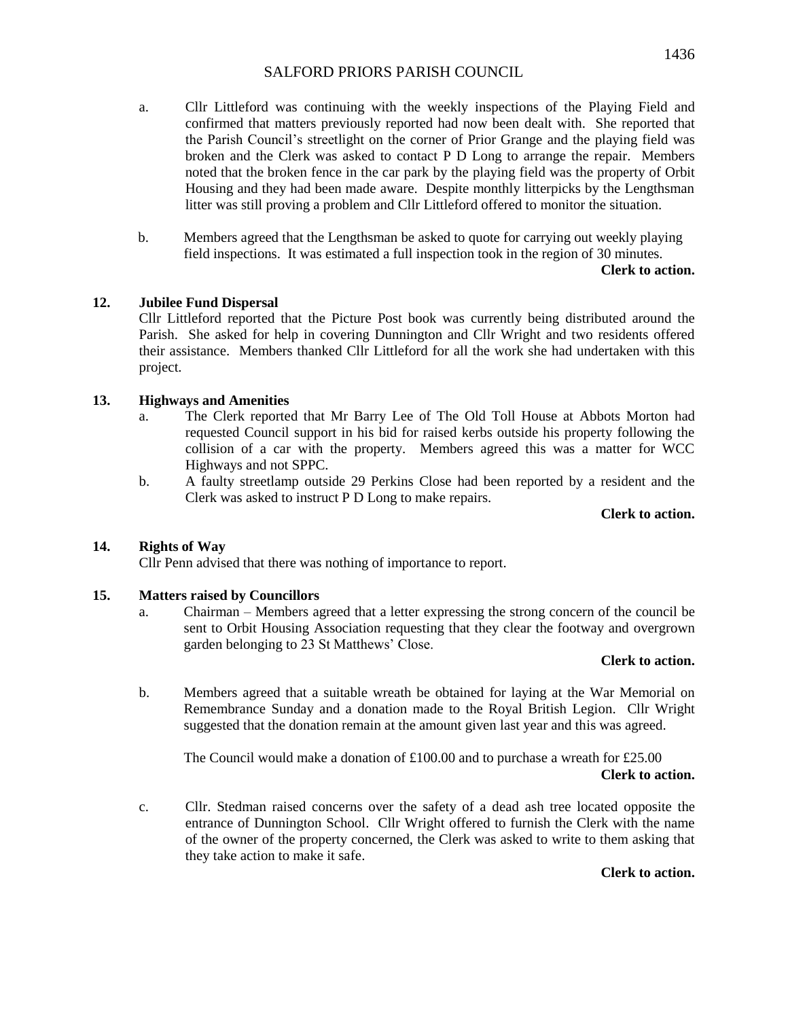- a. Cllr Littleford was continuing with the weekly inspections of the Playing Field and confirmed that matters previously reported had now been dealt with. She reported that the Parish Council's streetlight on the corner of Prior Grange and the playing field was broken and the Clerk was asked to contact P D Long to arrange the repair. Members noted that the broken fence in the car park by the playing field was the property of Orbit Housing and they had been made aware. Despite monthly litterpicks by the Lengthsman litter was still proving a problem and Cllr Littleford offered to monitor the situation.
- b. Members agreed that the Lengthsman be asked to quote for carrying out weekly playing field inspections. It was estimated a full inspection took in the region of 30 minutes.

**Clerk to action.**

## **12. Jubilee Fund Dispersal**

Cllr Littleford reported that the Picture Post book was currently being distributed around the Parish. She asked for help in covering Dunnington and Cllr Wright and two residents offered their assistance. Members thanked Cllr Littleford for all the work she had undertaken with this project.

## **13. Highways and Amenities**

- a. The Clerk reported that Mr Barry Lee of The Old Toll House at Abbots Morton had requested Council support in his bid for raised kerbs outside his property following the collision of a car with the property. Members agreed this was a matter for WCC Highways and not SPPC.
- b. A faulty streetlamp outside 29 Perkins Close had been reported by a resident and the Clerk was asked to instruct P D Long to make repairs.

**Clerk to action.**

## **14. Rights of Way**

Cllr Penn advised that there was nothing of importance to report.

## **15. Matters raised by Councillors**

a. Chairman – Members agreed that a letter expressing the strong concern of the council be sent to Orbit Housing Association requesting that they clear the footway and overgrown garden belonging to 23 St Matthews' Close.

#### **Clerk to action.**

b. Members agreed that a suitable wreath be obtained for laying at the War Memorial on Remembrance Sunday and a donation made to the Royal British Legion. Cllr Wright suggested that the donation remain at the amount given last year and this was agreed.

The Council would make a donation of £100.00 and to purchase a wreath for £25.00 **Clerk to action.**

c. Cllr. Stedman raised concerns over the safety of a dead ash tree located opposite the entrance of Dunnington School. Cllr Wright offered to furnish the Clerk with the name of the owner of the property concerned, the Clerk was asked to write to them asking that they take action to make it safe.

**Clerk to action.**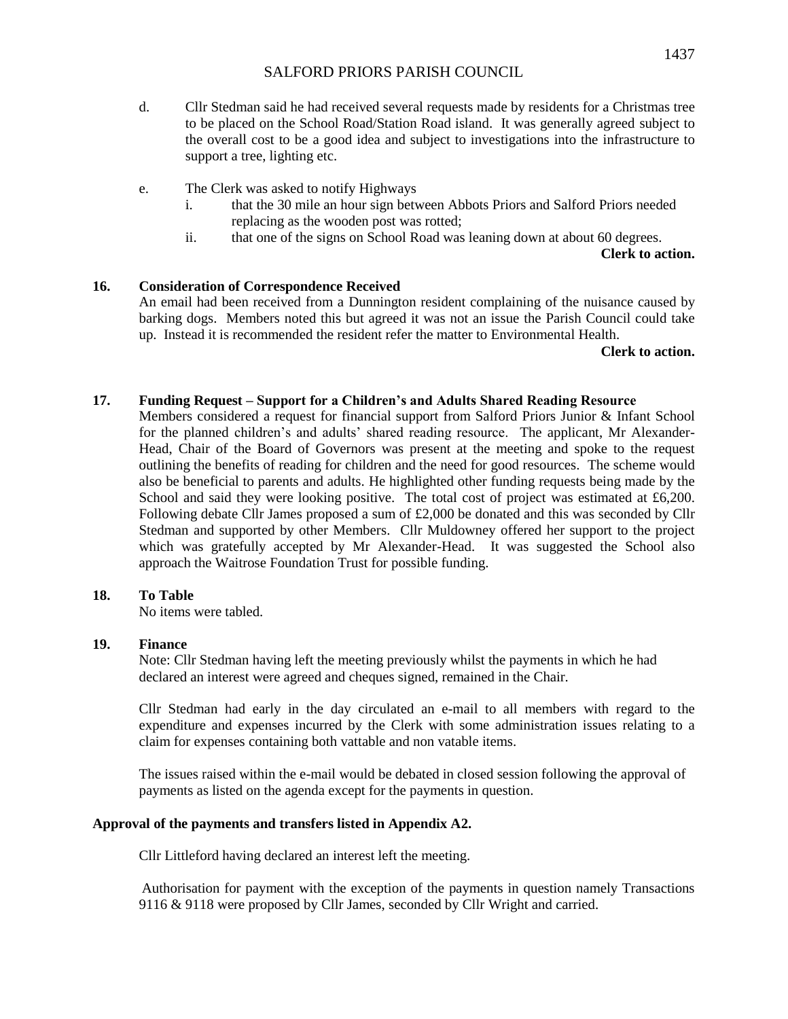- d. Cllr Stedman said he had received several requests made by residents for a Christmas tree to be placed on the School Road/Station Road island. It was generally agreed subject to the overall cost to be a good idea and subject to investigations into the infrastructure to support a tree, lighting etc.
- e. The Clerk was asked to notify Highways
	- i. that the 30 mile an hour sign between Abbots Priors and Salford Priors needed replacing as the wooden post was rotted;
	- ii. that one of the signs on School Road was leaning down at about 60 degrees.

**Clerk to action.**

## **16. Consideration of Correspondence Received**

An email had been received from a Dunnington resident complaining of the nuisance caused by barking dogs. Members noted this but agreed it was not an issue the Parish Council could take up. Instead it is recommended the resident refer the matter to Environmental Health.

**Clerk to action.**

## **17. Funding Request – Support for a Children's and Adults Shared Reading Resource**

Members considered a request for financial support from Salford Priors Junior & Infant School for the planned children's and adults' shared reading resource. The applicant, Mr Alexander-Head, Chair of the Board of Governors was present at the meeting and spoke to the request outlining the benefits of reading for children and the need for good resources. The scheme would also be beneficial to parents and adults. He highlighted other funding requests being made by the School and said they were looking positive. The total cost of project was estimated at £6,200. Following debate Cllr James proposed a sum of £2,000 be donated and this was seconded by Cllr Stedman and supported by other Members. Cllr Muldowney offered her support to the project which was gratefully accepted by Mr Alexander-Head. It was suggested the School also approach the Waitrose Foundation Trust for possible funding.

## **18. To Table**

No items were tabled.

## **19. Finance**

Note: Cllr Stedman having left the meeting previously whilst the payments in which he had declared an interest were agreed and cheques signed, remained in the Chair.

Cllr Stedman had early in the day circulated an e-mail to all members with regard to the expenditure and expenses incurred by the Clerk with some administration issues relating to a claim for expenses containing both vattable and non vatable items.

The issues raised within the e-mail would be debated in closed session following the approval of payments as listed on the agenda except for the payments in question.

## **Approval of the payments and transfers listed in Appendix A2.**

Cllr Littleford having declared an interest left the meeting.

Authorisation for payment with the exception of the payments in question namely Transactions 9116 & 9118 were proposed by Cllr James, seconded by Cllr Wright and carried.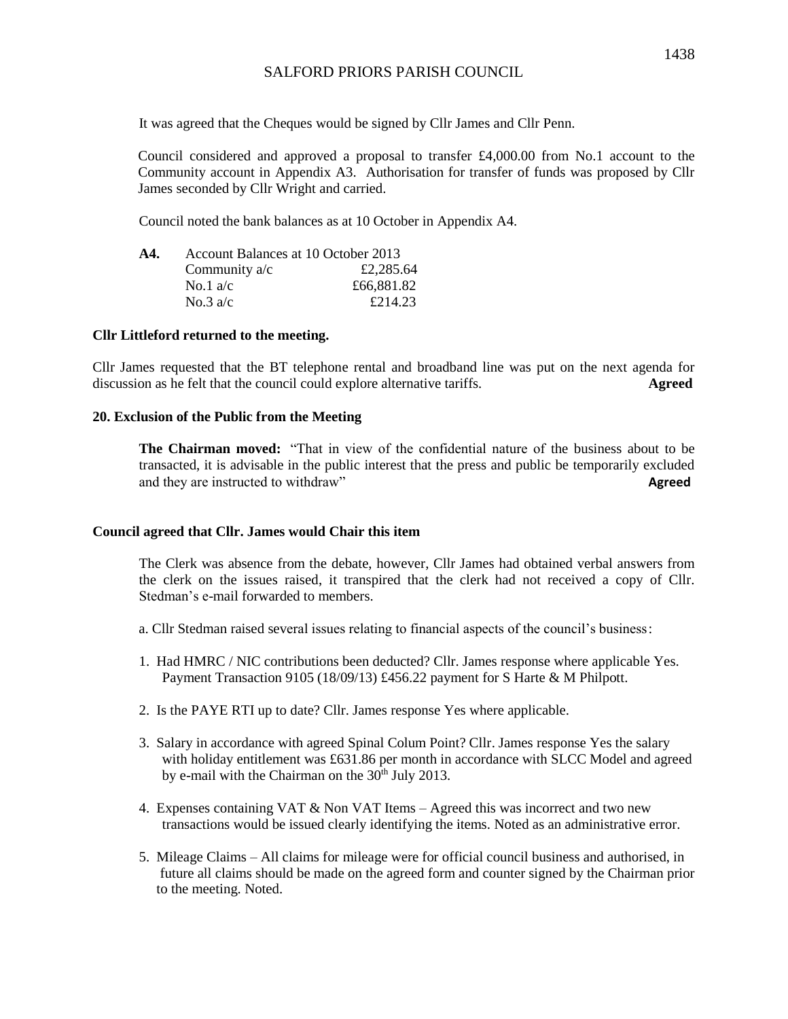It was agreed that the Cheques would be signed by Cllr James and Cllr Penn.

Council considered and approved a proposal to transfer £4,000.00 from No.1 account to the Community account in Appendix A3. Authorisation for transfer of funds was proposed by Cllr James seconded by Cllr Wright and carried.

Council noted the bank balances as at 10 October in Appendix A4.

| A4. | Account Balances at 10 October 2013 |            |  |  |
|-----|-------------------------------------|------------|--|--|
|     | Community $a/c$                     | £2,285.64  |  |  |
|     | No.1 $a/c$                          | £66,881.82 |  |  |
|     | No.3 $a/c$                          | £214.23    |  |  |

#### **Cllr Littleford returned to the meeting.**

Cllr James requested that the BT telephone rental and broadband line was put on the next agenda for discussion as he felt that the council could explore alternative tariffs. **Agreed**

### **20. Exclusion of the Public from the Meeting**

**The Chairman moved:** "That in view of the confidential nature of the business about to be transacted, it is advisable in the public interest that the press and public be temporarily excluded and they are instructed to withdraw" **Agreed**

#### **Council agreed that Cllr. James would Chair this item**

The Clerk was absence from the debate, however, Cllr James had obtained verbal answers from the clerk on the issues raised, it transpired that the clerk had not received a copy of Cllr. Stedman's e-mail forwarded to members.

- a. Cllr Stedman raised several issues relating to financial aspects of the council's business:
- 1. Had HMRC / NIC contributions been deducted? Cllr. James response where applicable Yes. Payment Transaction 9105 (18/09/13) £456.22 payment for S Harte & M Philpott.
- 2. Is the PAYE RTI up to date? Cllr. James response Yes where applicable.
- 3. Salary in accordance with agreed Spinal Colum Point? Cllr. James response Yes the salary with holiday entitlement was £631.86 per month in accordance with SLCC Model and agreed by e-mail with the Chairman on the  $30<sup>th</sup>$  July 2013.
- 4. Expenses containing VAT & Non VAT Items Agreed this was incorrect and two new transactions would be issued clearly identifying the items. Noted as an administrative error.
- 5. Mileage Claims All claims for mileage were for official council business and authorised, in future all claims should be made on the agreed form and counter signed by the Chairman prior to the meeting. Noted.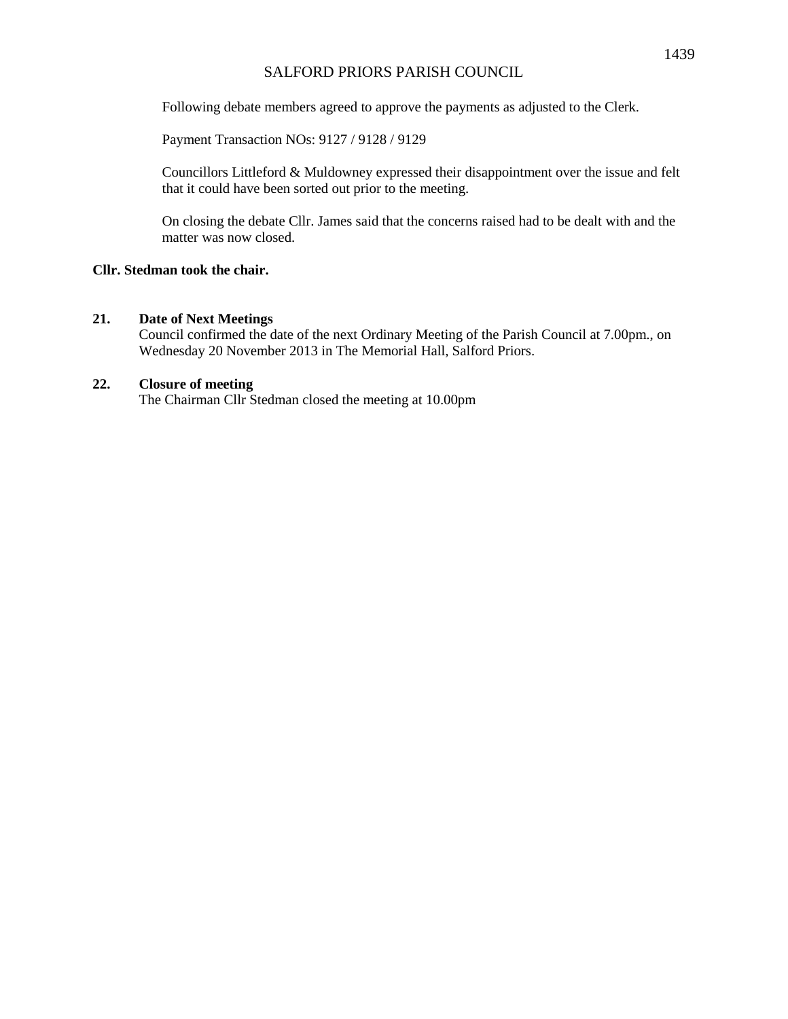Following debate members agreed to approve the payments as adjusted to the Clerk.

Payment Transaction NOs: 9127 / 9128 / 9129

Councillors Littleford & Muldowney expressed their disappointment over the issue and felt that it could have been sorted out prior to the meeting.

On closing the debate Cllr. James said that the concerns raised had to be dealt with and the matter was now closed.

# **Cllr. Stedman took the chair.**

## **21. Date of Next Meetings**

Council confirmed the date of the next Ordinary Meeting of the Parish Council at 7.00pm., on Wednesday 20 November 2013 in The Memorial Hall, Salford Priors.

## **22. Closure of meeting**

The Chairman Cllr Stedman closed the meeting at 10.00pm